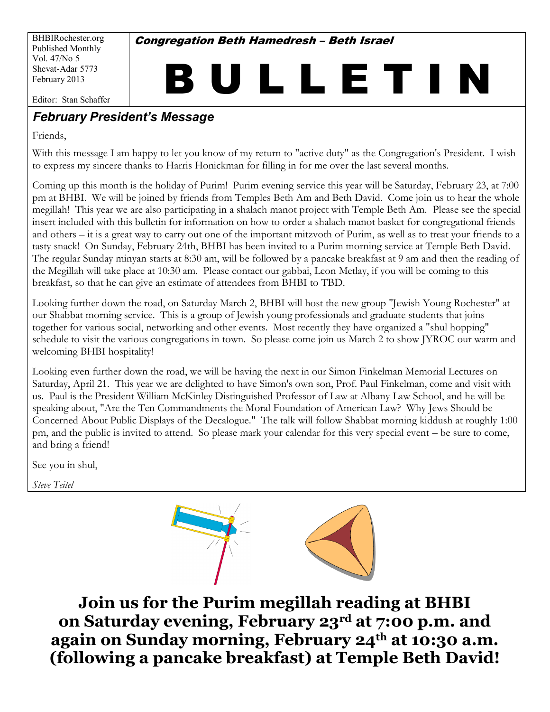BHBIRochester.org Published Monthly Vol. 47/No 5 Shevat-Adar 5773 February 2013

**Congregation Beth Hamedresh - Beth Israel** 

# BULLETIN Editor: Stan Schaffer

#### **February President's Message**

Friends.

With this message I am happy to let you know of my return to "active duty" as the Congregation's President. I wish to express my sincere thanks to Harris Honickman for filling in for me over the last several months.

Coming up this month is the holiday of Purim! Purim evening service this year will be Saturday, February 23, at 7:00 pm at BHBI. We will be joined by friends from Temples Beth Am and Beth David. Come join us to hear the whole megillah! This year we are also participating in a shalach manot project with Temple Beth Am. Please see the special insert included with this bulletin for information on how to order a shalach manot basket for congregational friends and others – it is a great way to carry out one of the important mitzyoth of Purim, as well as to treat your friends to a tasty snack! On Sunday, February 24th, BHBI has been invited to a Purim morning service at Temple Beth David. The regular Sunday minyan starts at 8:30 am, will be followed by a pancake breakfast at 9 am and then the reading of the Megillah will take place at 10:30 am. Please contact our gabbai, Leon Metlay, if you will be coming to this breakfast, so that he can give an estimate of attendees from BHBI to TBD.

Looking further down the road, on Saturday March 2, BHBI will host the new group "Jewish Young Rochester" at our Shabbat morning service. This is a group of Jewish young professionals and graduate students that joins together for various social, networking and other events. Most recently they have organized a "shul hopping" schedule to visit the various congregations in town. So please come join us March 2 to show JYROC our warm and welcoming BHBI hospitality!

Looking even further down the road, we will be having the next in our Simon Finkelman Memorial Lectures on Saturday, April 21. This year we are delighted to have Simon's own son, Prof. Paul Finkelman, come and visit with us. Paul is the President William McKinley Distinguished Professor of Law at Albany Law School, and he will be speaking about, "Are the Ten Commandments the Moral Foundation of American Law? Why Jews Should be Concerned About Public Displays of the Decalogue." The talk will follow Shabbat morning kiddush at roughly 1:00 pm, and the public is invited to attend. So please mark your calendar for this very special event – be sure to come, and bring a friend!

See you in shul,

**Steve Teitel** 



Join us for the Purim megillah reading at BHBI on Saturday evening, February 23rd at 7:00 p.m. and again on Sunday morning, February 24<sup>th</sup> at 10:30 a.m. (following a pancake breakfast) at Temple Beth David!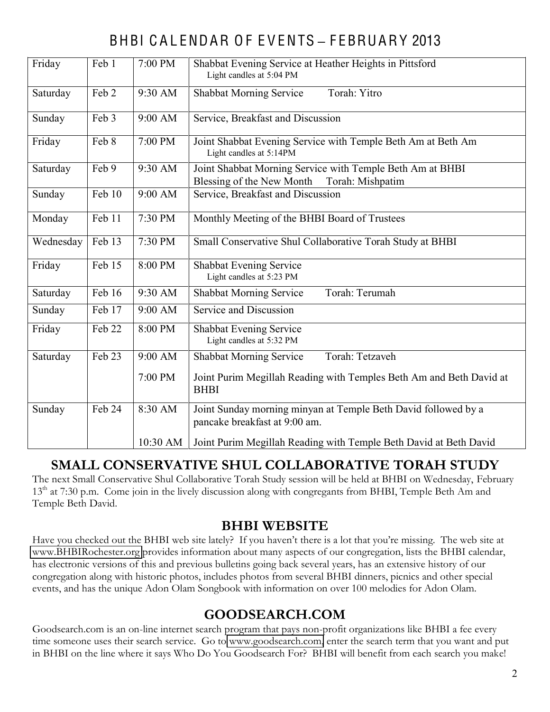# BHBI C A L ENDAR O F E V ENTS **±** F EBRUARY 2013

| Friday    | Feb 1  | 7:00 PM  | Shabbat Evening Service at Heather Heights in Pittsford<br>Light candles at 5:04 PM                        |
|-----------|--------|----------|------------------------------------------------------------------------------------------------------------|
| Saturday  | Feb 2  | 9:30 AM  | Torah: Yitro<br><b>Shabbat Morning Service</b>                                                             |
| Sunday    | Feb 3  | 9:00 AM  | Service, Breakfast and Discussion                                                                          |
| Friday    | Feb 8  | 7:00 PM  | Joint Shabbat Evening Service with Temple Beth Am at Beth Am<br>Light candles at 5:14PM                    |
| Saturday  | Feb 9  | 9:30 AM  | Joint Shabbat Morning Service with Temple Beth Am at BHBI<br>Blessing of the New Month<br>Torah: Mishpatim |
| Sunday    | Feb 10 | 9:00 AM  | Service, Breakfast and Discussion                                                                          |
| Monday    | Feb 11 | 7:30 PM  | Monthly Meeting of the BHBI Board of Trustees                                                              |
| Wednesday | Feb 13 | 7:30 PM  | Small Conservative Shul Collaborative Torah Study at BHBI                                                  |
| Friday    | Feb 15 | 8:00 PM  | Shabbat Evening Service<br>Light candles at 5:23 PM                                                        |
| Saturday  | Feb 16 | 9:30 AM  | Torah: Terumah<br><b>Shabbat Morning Service</b>                                                           |
| Sunday    | Feb 17 | 9:00 AM  | Service and Discussion                                                                                     |
| Friday    | Feb 22 | 8:00 PM  | Shabbat Evening Service<br>Light candles at 5:32 PM                                                        |
| Saturday  | Feb 23 | 9:00 AM  | Torah: Tetzaveh<br><b>Shabbat Morning Service</b>                                                          |
|           |        | 7:00 PM  | Joint Purim Megillah Reading with Temples Beth Am and Beth David at<br><b>BHBI</b>                         |
| Sunday    | Feb 24 | 8:30 AM  | Joint Sunday morning minyan at Temple Beth David followed by a<br>pancake breakfast at 9:00 am.            |
|           |        | 10:30 AM | Joint Purim Megillah Reading with Temple Beth David at Beth David                                          |

#### **SMALL CONSERVATIVE SHUL COLLABORATIVE TORAH STUDY**

The next Small Conservative Shul Collaborative Torah Study session will be held at BHBI on Wednesday, February 13<sup>th</sup> at 7:30 p.m. Come join in the lively discussion along with congregants from BHBI, Temple Beth Am and Temple Beth David.

#### **DHBI WEBSITE**

Have you checked out the BHBI web site lately? If you haven't there is a lot that you're missing. The web site at www.BHBIRochester.org provides information about many aspects of our congregation, lists the BHBI calendar, has electronic versions of this and previous bulletins going back several years, has an extensive history of our congregation along with historic photos, includes photos from several BHBI dinners, picnics and other special events, and has the unique Adon Olam Songbook with information on over 100 melodies for Adon Olam.

# $600$ DSEARCH.COM

Goodsearch.com is an on-line internet search program that pays non-profit organizations like BHBI a fee every time someone uses their search service. Go to www.goodsearch.com, enter the search term that you want and put in BHBI on the line where it says Who Do You Goodsearch For? BHBI will benefit from each search you make!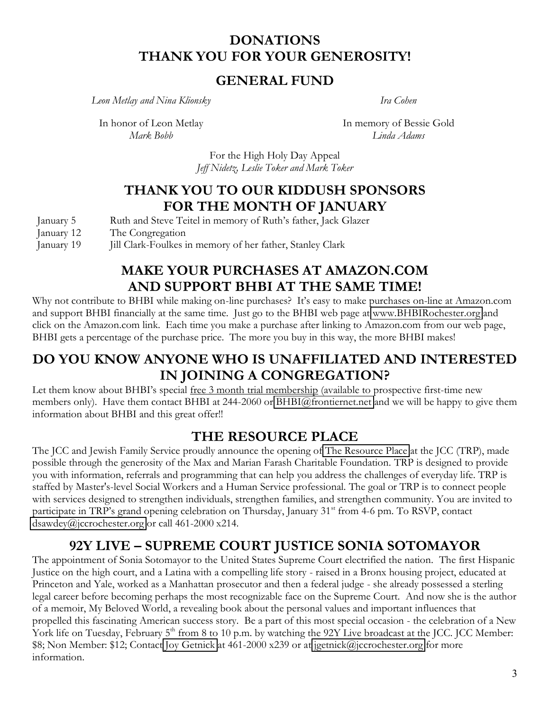#### **DONATIONS** THANK YOU FOR YOUR GENEROSITY!

#### **GENERAL FUND**

Leon Metlay and Nina Klionsky

Ira Cohen

In honor of Leon Metlay Mark Bobb

In memory of Bessie Gold Linda Adams

For the High Holy Day Appeal Jeff Nidetz, Leslie Toker and Mark Toker

#### THANK YOU TO OUR KIDDUSH SPONSORS FOR THE MONTH OF JANUARY

| January 5 |  |  | Ruth and Steve Teitel in memory of Ruth's father, Jack Glaze |  |
|-----------|--|--|--------------------------------------------------------------|--|
|           |  |  |                                                              |  |

January 12 The Congregation

Jill Clark-Foulkes in memory of her father, Stanley Clark January 19

#### **MAKE YOUR PURCHASES AT AMAZON.COM** AND SUPPORT BHBI AT THE SAME TIME!

Why not contribute to BHBI while making on-line purchases? It's easy to make purchases on-line at Amazon.com and support BHBI financially at the same time. Just go to the BHBI web page at www.BHBIRochester.org and click on the Amazon.com link. Each time you make a purchase after linking to Amazon.com from our web page, BHBI gets a percentage of the purchase price. The more you buy in this way, the more BHBI makes!

### DO YOU KNOW ANYONE WHO IS UNAFFILIATED AND INTERESTED IN JOINING A CONGREGATION?

Let them know about BHBI's special free 3 month trial membership (available to prospective first-time new members only). Have them contact BHBI at 244-2060 or BHBI@frontiernet.net and we will be happy to give them information about BHBI and this great offer!!

#### THE RESOURCE PLACE

The JCC and Jewish Family Service proudly announce the opening of The Resource Place at the JCC (TRP), made possible through the generosity of the Max and Marian Farash Charitable Foundation. TRP is designed to provide you with information, referrals and programming that can help you address the challenges of everyday life. TRP is staffed by Master's-level Social Workers and a Human Service professional. The goal or TRP is to connect people with services designed to strengthen individuals, strengthen families, and strengthen community. You are invited to participate in TRP's grand opening celebration on Thursday, January 31<sup>st</sup> from 4-6 pm. To RSVP, contact dsawdey@jccrochester.org or call 461-2000 x214.

# 92Y LIVE - SUPREME COURT JUSTICE SONIA SOTOMAYOR

The appointment of Sonia Sotomayor to the United States Supreme Court electrified the nation. The first Hispanic Justice on the high court, and a Latina with a compelling life story - raised in a Bronx housing project, educated at Princeton and Yale, worked as a Manhattan prosecutor and then a federal judge - she already possessed a sterling legal career before becoming perhaps the most recognizable face on the Supreme Court. And now she is the author of a memoir, My Beloved World, a revealing book about the personal values and important influences that propelled this fascinating American success story. Be a part of this most special occasion - the celebration of a New York life on Tuesday, February 5<sup>th</sup> from 8 to 10 p.m. by watching the 92Y Live broadcast at the JCC. JCC Member: \$8; Non Member: \$12; Contact Joy Getnick at 461-2000 x239 or at jgetnick@jccrochester.org for more information.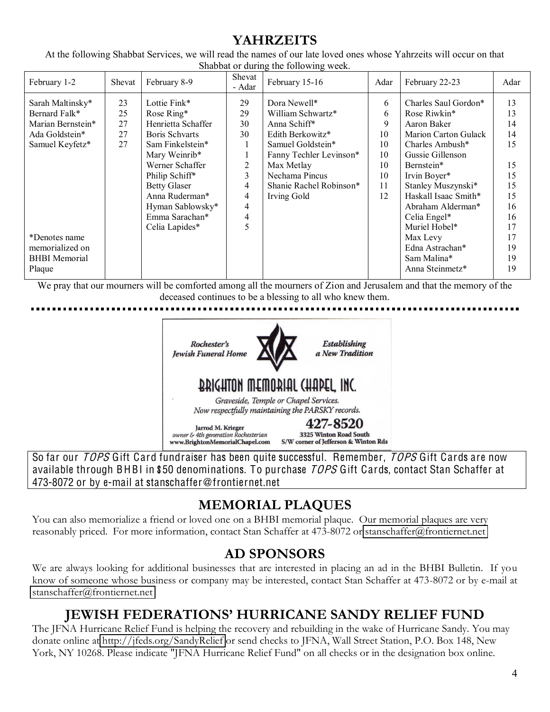### **2 YAHRZEITS**

At the following Shabbat Services, we will read the names of our late loved ones whose Yahrzeits will occur on that Shabbat or during the following week.

| February 1-2         | Shevat | February 8-9          | Shevat<br>- Adar | February 15-16          | Adar | February 22-23              | Adar |
|----------------------|--------|-----------------------|------------------|-------------------------|------|-----------------------------|------|
| Sarah Maltinsky*     | 23     | Lottie Fink*          | 29               | Dora Newell*            | 6    | Charles Saul Gordon*        | 13   |
| Bernard Falk*        | 25     | Rose Ring*            | 29               | William Schwartz*       | 6    | Rose Riwkin*                | 13   |
| Marian Bernstein*    | 27     | Henrietta Schaffer    | 30               | Anna Schiff*            | 9    | Aaron Baker                 | 14   |
| Ada Goldstein*       | 27     | <b>Boris Schvarts</b> | 30               | Edith Berkowitz*        | 10   | <b>Marion Carton Gulack</b> | 14   |
| Samuel Keyfetz*      | 27     | Sam Finkelstein*      |                  | Samuel Goldstein*       | 10   | Charles Ambush*             | 15   |
|                      |        | Mary Weinrib*         |                  | Fanny Techler Levinson* | 10   | Gussie Gillenson            |      |
|                      |        | Werner Schaffer       | 2                | Max Metlay              | 10   | Bernstein*                  | 15   |
|                      |        | Philip Schiff*        | 3                | Nechama Pincus          | 10   | Irvin Boyer*                | 15   |
|                      |        | <b>Betty Glaser</b>   | 4                | Shanie Rachel Robinson* | 11   | Stanley Muszynski*          | 15   |
|                      |        | Anna Ruderman*        | 4                | Irving Gold             | 12   | Haskall Isaac Smith*        | 15   |
|                      |        | Hyman Sablowsky*      | 4                |                         |      | Abraham Alderman*           | 16   |
|                      |        | Emma Sarachan*        | 4                |                         |      | Celia Engel*                | 16   |
|                      |        | Celia Lapides*        | 5                |                         |      | Muriel Hobel*               | 17   |
| *Denotes name        |        |                       |                  |                         |      | Max Levy                    | 17   |
| memorialized on      |        |                       |                  |                         |      | Edna Astrachan*             | 19   |
| <b>BHBI</b> Memorial |        |                       |                  |                         |      | Sam Malina*                 | 19   |
| Plaque               |        |                       |                  |                         |      | Anna Steinmetz*             | 19   |
|                      |        |                       |                  |                         |      |                             |      |

We pray that our mourners will be comforted among all the mourners of Zion and Jerusalem and that the memory of the deceased continues to be a blessing to all who knew them.



So far our *TOPS* Gift Card fundraiser has been quite successful. Remember, *TOPS* Gift Cards are now available through BHBI in \$50 denominations. To purchase TOPS Gift Cards, contact Stan Schaffer at 473-8072 or by e-mail at stanschaffer@frontiernet.net

# **MEMORIAL PLAQUES**

You can also memorialize a friend or loved one on a BHBI memorial plaque. Our memorial plaques are very reasonably priced. For more information, contact Stan Schaffer at 473-8072 or stanschaffer@frontiernet.net

#### **AD SPONSORS**

We are always looking for additional businesses that are interested in placing an ad in the BHBI Bulletin. If you know of someone whose business or company may be interested, contact Stan Schaffer at 473-8072 or by e-mail at stanschaffer@frontiernet.net

# **IEWISH FEDERATIONS' HURRICANE SANDY RELIEF FUND**

The JFNA Hurricane Relief Fund is helping the recovery and rebuilding in the wake of Hurricane Sandy. You may donate online at http://jfeds.org/SandyRelief or send checks to JFNA, Wall Street Station, P.O. Box 148, New York, NY 10268. Please indicate "JFNA Hurricane Relief Fund" on all checks or in the designation box online.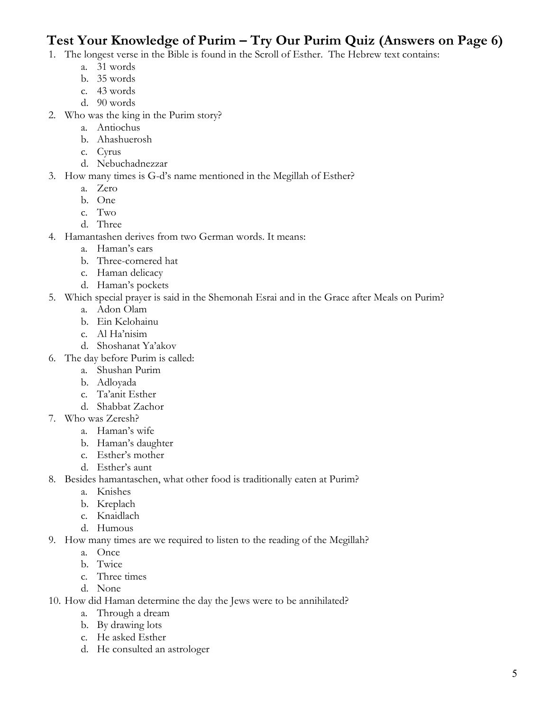# Test Your Knowledge of Purim - Try Our Purim Quiz (Answers on Page 6)

- 1. The longest verse in the Bible is found in the Scroll of Esther. The Hebrew text contains:
	- a. 31 words
	- b. 35 words
	- c. 43 words
	- d. 90 words
- 2. Who was the king in the Purim story?
	- a. Antiochus
	- b. Ahashuerosh
	- c. Cyrus
	- d. Nebuchadnezzar
- 3. How many times is G-d's name mentioned in the Megillah of Esther?
	- a. Zero
	- b. One
	- c. Two
	- d. Three
- 4. Hamantashen derives from two German words. It means:
	- a. Haman's ears
	- b. Three-cornered hat
	- c. Haman delicacy
	- d. Haman's pockets
- 5. Which special prayer is said in the Shemonah Esrai and in the Grace after Meals on Purim?
	- a. Adon Olam
	- b. Ein Kelohainu
	- c. Al Ha'nisim
	- d. Shoshanat Ya'akov
- 6. The day before Purim is called:
	- a. Shushan Purim
	- b. Adlovada
	- c. Ta'anit Esther
	- d. Shabbat Zachor
- 7. Who was Zeresh?
	- a. Haman's wife
	- b. Haman's daughter
	- c. Esther's mother
	- d. Esther's aunt
- 8. Besides hamantaschen, what other food is traditionally eaten at Purim?
	- a. Knishes
	- b. Kreplach
	- c. Knaidlach
	- d. Humous
- 9. How many times are we required to listen to the reading of the Megillah?
	- a. Once
	- b. Twice
	- c. Three times
	- d. None
- 10. How did Haman determine the day the Jews were to be annihilated?
	- a. Through a dream
	- b. By drawing lots
	- c. He asked Esther
	- d. He consulted an astrologer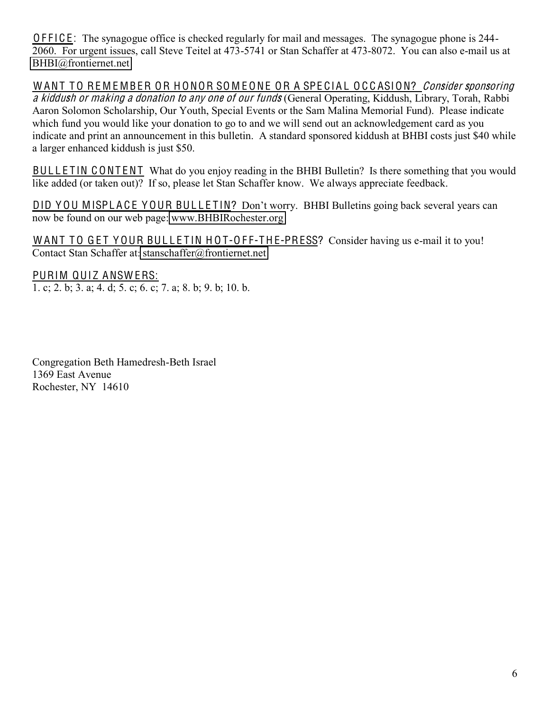O F F I C E: The synagogue office is checked regularly for mail and messages. The synagogue phone is 244-2060. For urgent issues, call Steve Teitel at 473-5741 or Stan Schaffer at 473-8072. You can also e-mail us at [BHBI@frontiernet.net](mailto:BHBI@frontiernet.net)

WANT TO REMEMBER OR HONOR SOMEONE OR A SPECIAL OCCASION? Consider sponsoring a kiddush or making a donation to any one of our funds (General Operating, Kiddush, Library, Torah, Rabbi Aaron Solomon Scholarship, Our Youth, Special Events or the Sam Malina Memorial Fund). Please indicate which fund you would like your donation to go to and we will send out an acknowledgement card as you indicate and print an announcement in this bulletin. A standard sponsored kiddush at BHBI costs just \$40 while a larger enhanced kiddush is just \$50.

BULLETIN CONTENT What do you enjoy reading in the BHBI Bulletin? Is there something that you would like added (or taken out)? If so, please let Stan Schaffer know. We always appreciate feedback.

DID YOU MISPLACE YOUR BULLETIN? Don't worry. BHBI Bulletins going back several years can now be found on our web page: [www.BHBIRochester.org](http://www.bhbirochester.org/)

WANT TO GET YOUR BULLETIN HOT-OFF-THE-PRESS? Consider having us e-mail it to you! Contact Stan Schaffer at: [stanschaffer@frontiernet.net](mailto:the_schaffers@juno.com) 

PURIM QUIZ ANSWERS: 1. c; 2. b; 3. a; 4. d; 5. c; 6. c; 7. a; 8. b; 9. b; 10. b.

Congregation Beth Hamedresh-Beth Israel 1369 East Avenue Rochester, NY 14610